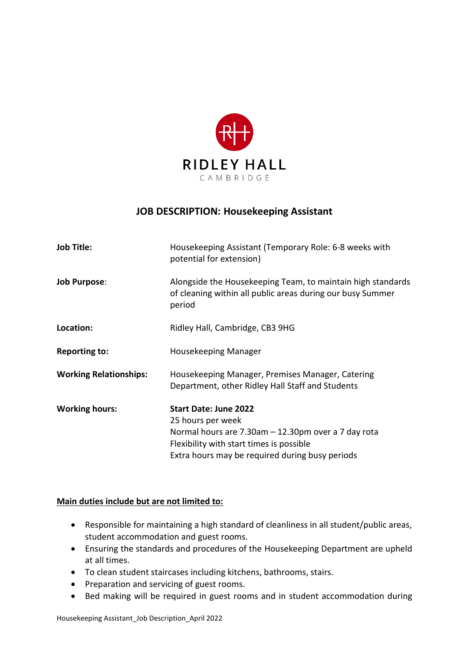

# **JOB DESCRIPTION: Housekeeping Assistant**

| <b>Job Title:</b>             | Housekeeping Assistant (Temporary Role: 6-8 weeks with<br>potential for extension)                                                                                                                      |
|-------------------------------|---------------------------------------------------------------------------------------------------------------------------------------------------------------------------------------------------------|
| <b>Job Purpose:</b>           | Alongside the Housekeeping Team, to maintain high standards<br>of cleaning within all public areas during our busy Summer<br>period                                                                     |
| Location:                     | Ridley Hall, Cambridge, CB3 9HG                                                                                                                                                                         |
| <b>Reporting to:</b>          | Housekeeping Manager                                                                                                                                                                                    |
| <b>Working Relationships:</b> | Housekeeping Manager, Premises Manager, Catering<br>Department, other Ridley Hall Staff and Students                                                                                                    |
| <b>Working hours:</b>         | <b>Start Date: June 2022</b><br>25 hours per week<br>Normal hours are 7.30am - 12.30pm over a 7 day rota<br>Flexibility with start times is possible<br>Extra hours may be required during busy periods |

### **Main duties include but are not limited to:**

- Responsible for maintaining a high standard of cleanliness in all student/public areas, student accommodation and guest rooms.
- Ensuring the standards and procedures of the Housekeeping Department are upheld at all times.
- To clean student staircases including kitchens, bathrooms, stairs.
- Preparation and servicing of guest rooms.
- Bed making will be required in guest rooms and in student accommodation during